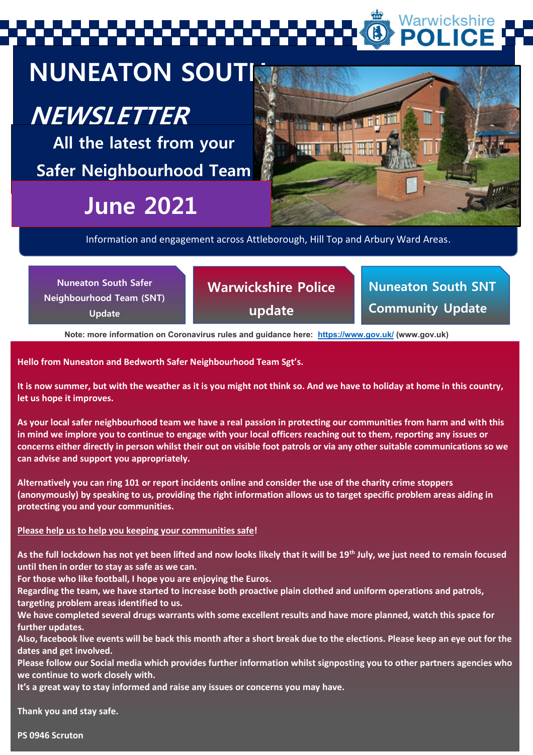Warwickshire

## **NUNEATON SOUTH**

### **NEWSLETTER**

**All the latest from your Safer Neighbourhood Team**

## **June 2021**



Information and engagement across Attleborough, Hill Top and Arbury Ward Areas.

| <b>Nuneaton South Safer</b><br>Neighbourhood Team (SNT)<br>Update | <b>Warwickshire Police</b><br>update | Nuneaton South SNT<br><b>Community Update</b> |
|-------------------------------------------------------------------|--------------------------------------|-----------------------------------------------|
|                                                                   |                                      |                                               |

**Note: more information on Coronavirus rules and guidance here:<https://www.gov.uk/> (www.gov.uk)**

**Hello from Nuneaton and Bedworth Safer Neighbourhood Team Sgt's.** 

**It is now summer, but with the weather as it is you might not think so. And we have to holiday at home in this country, let us hope it improves.** 

**As your local safer neighbourhood team we have a real passion in protecting our communities from harm and with this in mind we implore you to continue to engage with your local officers reaching out to them, reporting any issues or concerns either directly in person whilst their out on visible foot patrols or via any other suitable communications so we can advise and support you appropriately.** 

**Alternatively you can ring 101 or report incidents online and consider the use of the charity crime stoppers (anonymously) by speaking to us, providing the right information allows us to target specific problem areas aiding in protecting you and your communities.** 

#### **Please help us to help you keeping your communities safe!**

**As the full lockdown has not yet been lifted and now looks likely that it will be 19th July, we just need to remain focused until then in order to stay as safe as we can.**

**For those who like football, I hope you are enjoying the Euros.**

**Regarding the team, we have started to increase both proactive plain clothed and uniform operations and patrols, targeting problem areas identified to us.** 

**We have completed several drugs warrants with some excellent results and have more planned, watch this space for further updates.**

**Also, facebook live events will be back this month after a short break due to the elections. Please keep an eye out for the dates and get involved.**

**Please follow our Social media which provides further information whilst signposting you to other partners agencies who we continue to work closely with.** 

**It's a great way to stay informed and raise any issues or concerns you may have.**

nuncaton Safer Neighbourhood Team (SNT) – here for OUR communities in OUR communities in OUR communities in OU<br>Team (SNT) – here for OUR communities in OUR communities in OUR communities in OUR communities in OUR communit **Thank you and stay safe.** 

**PS 0946 Scruton**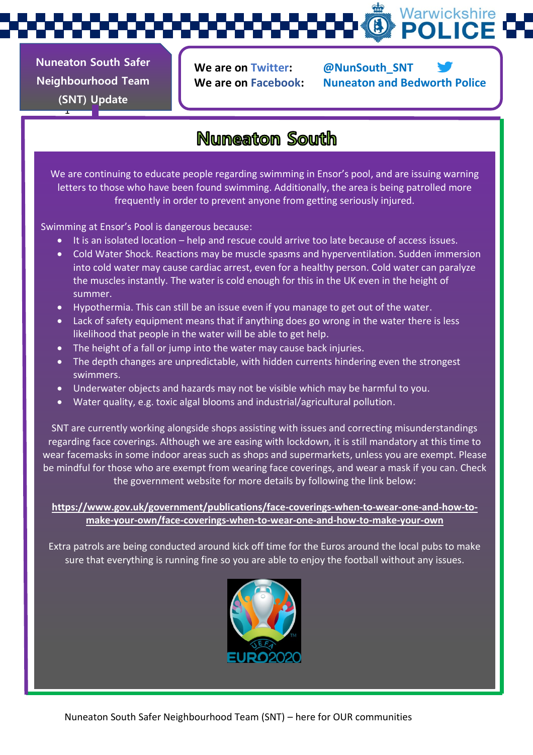Warwickshire

**Nuneaton South Safer Neighbourhood Team (SNT) Update** 

1

**We are on Twitter: @NunSouth\_SNT**

**We are on Facebook: Nuneaton and Bedworth Police**

### **Nuneaton South**

We are continuing to educate people regarding swimming in Ensor's pool, and are issuing warning letters to those who have been found swimming. Additionally, the area is being patrolled more frequently in order to prevent anyone from getting seriously injured.

Swimming at Ensor's Pool is dangerous because:

- It is an isolated location help and rescue could arrive too late because of access issues.
- Cold Water Shock. Reactions may be muscle spasms and hyperventilation. Sudden immersion into cold water may cause cardiac arrest, even for a healthy person. Cold water can paralyze the muscles instantly. The water is cold enough for this in the UK even in the height of summer.
- Hypothermia. This can still be an issue even if you manage to get out of the water.
- Lack of safety equipment means that if anything does go wrong in the water there is less likelihood that people in the water will be able to get help.
- The height of a fall or jump into the water may cause back injuries.
- The depth changes are unpredictable, with hidden currents hindering even the strongest swimmers.
- Underwater objects and hazards may not be visible which may be harmful to you.
- Water quality, e.g. toxic algal blooms and industrial/agricultural pollution.

SNT are currently working alongside shops assisting with issues and correcting misunderstandings regarding face coverings. Although we are easing with lockdown, it is still mandatory at this time to wear facemasks in some indoor areas such as shops and supermarkets, unless you are exempt. Please be mindful for those who are exempt from wearing face coverings, and wear a mask if you can. Check the government website for more details by following the link below:

**[https://www.gov.uk/government/publications/face-coverings-when-to-wear-one-and-how-to](https://www.gov.uk/government/publications/face-coverings-when-to-wear-one-and-how-to-make-your-own/face-coverings-when-to-wear-one-and-how-to-make-your-own)[make-your-own/face-coverings-when-to-wear-one-and-how-to-make-your-own](https://www.gov.uk/government/publications/face-coverings-when-to-wear-one-and-how-to-make-your-own/face-coverings-when-to-wear-one-and-how-to-make-your-own)**

Extra patrols are being conducted around kick off time for the Euros around the local pubs to make sure that everything is running fine so you are able to enjoy the football without any issues.

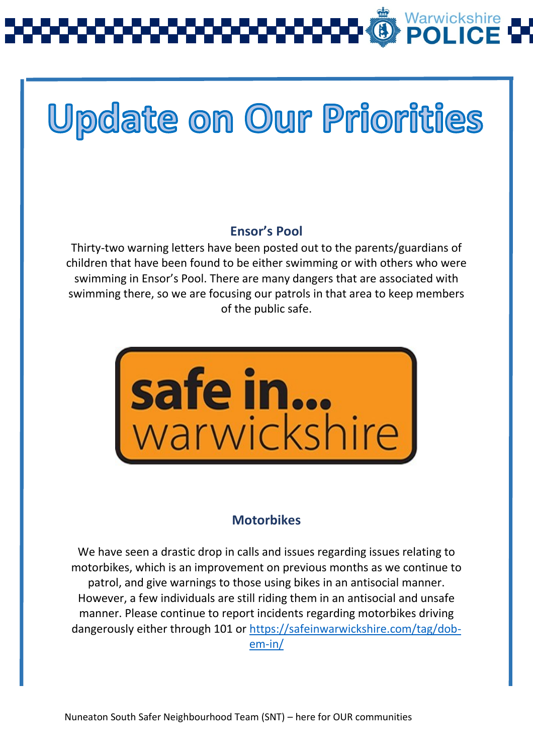## **Update on Our Priorities**

### **Ensor's Pool**

Thirty-two warning letters have been posted out to the parents/guardians of children that have been found to be either swimming or with others who were swimming in Ensor's Pool. There are many dangers that are associated with swimming there, so we are focusing our patrols in that area to keep members of the public safe.



### **Motorbikes**

We have seen a drastic drop in calls and issues regarding issues relating to motorbikes, which is an improvement on previous months as we continue to patrol, and give warnings to those using bikes in an antisocial manner. However, a few individuals are still riding them in an antisocial and unsafe manner. Please continue to report incidents regarding motorbikes driving dangerously either through 101 or [https://safeinwarwickshire.com/tag/dob](https://safeinwarwickshire.com/tag/dob-em-in/)[em-in/](https://safeinwarwickshire.com/tag/dob-em-in/)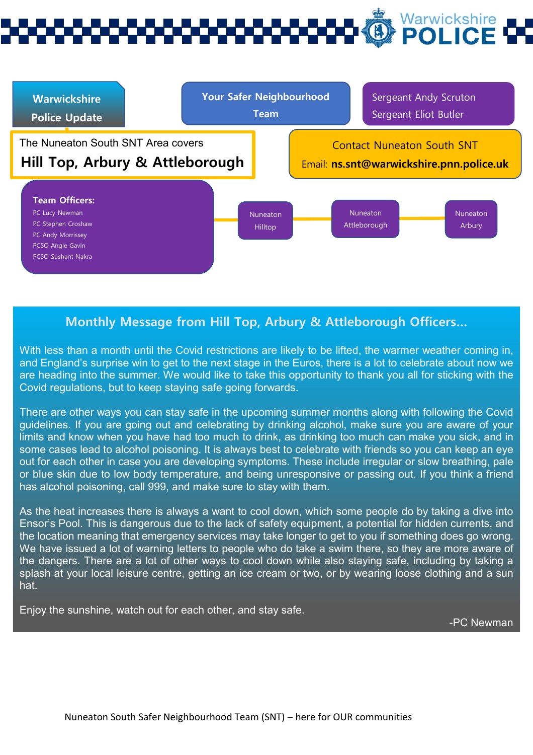# Warwickshire



### **Monthly Message from Hill Top, Arbury & Attleborough Officers…**

With less than a month until the Covid restrictions are likely to be lifted, the warmer weather coming in, and England's surprise win to get to the next stage in the Euros, there is a lot to celebrate about now we are heading into the summer. We would like to take this opportunity to thank you all for sticking with the Covid regulations, but to keep staying safe going forwards.

There are other ways you can stay safe in the upcoming summer months along with following the Covid guidelines. If you are going out and celebrating by drinking alcohol, make sure you are aware of your limits and know when you have had too much to drink, as drinking too much can make you sick, and in some cases lead to alcohol poisoning. It is always best to celebrate with friends so you can keep an eye out for each other in case you are developing symptoms. These include irregular or slow breathing, pale or blue skin due to low body temperature, and being unresponsive or passing out. If you think a friend has alcohol poisoning, call 999, and make sure to stay with them.

As the heat increases there is always a want to cool down, which some people do by taking a dive into Ensor's Pool. This is dangerous due to the lack of safety equipment, a potential for hidden currents, and the location meaning that emergency services may take longer to get to you if something does go wrong. We have issued a lot of warning letters to people who do take a swim there, so they are more aware of the dangers. There are a lot of other ways to cool down while also staying safe, including by taking a splash at your local leisure centre, getting an ice cream or two, or by wearing loose clothing and a sun hat.

Enjoy the sunshine, watch out for each other, and stay safe.

-PC Newman